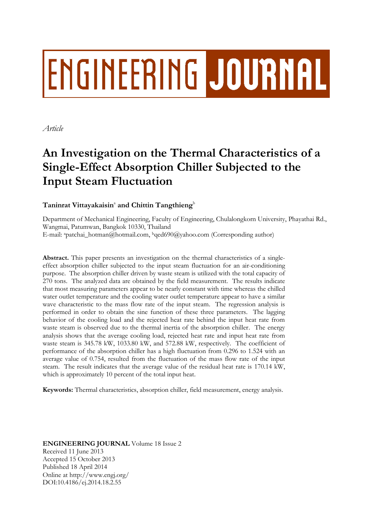# **ENGINEERING JOURNAL**

*Article*

## **An Investigation on the Thermal Characteristics of a Single-Effect Absorption Chiller Subjected to the Input Steam Fluctuation**

### $\mathrm{T}$ aninrat Vittayakaisin $^{\mathrm{a}}$  and Chittin  $\mathrm{T}$ angthieng $^{\mathrm{b}}$

Department of Mechanical Engineering, Faculty of Engineering, Chulalongkorn University, Phayathai Rd., Wangmai, Patumwan, Bangkok 10330, Thailand E-mail: <sup>a</sup>patchai\_hotman@hotmail.com, <sup>b</sup>qed690@yahoo.com (Corresponding author)

**Abstract.** This paper presents an investigation on the thermal characteristics of a singleeffect absorption chiller subjected to the input steam fluctuation for an air-conditioning purpose. The absorption chiller driven by waste steam is utilized with the total capacity of 270 tons. The analyzed data are obtained by the field measurement. The results indicate that most measuring parameters appear to be nearly constant with time whereas the chilled water outlet temperature and the cooling water outlet temperature appear to have a similar wave characteristic to the mass flow rate of the input steam. The regression analysis is performed in order to obtain the sine function of these three parameters. The lagging behavior of the cooling load and the rejected heat rate behind the input heat rate from waste steam is observed due to the thermal inertia of the absorption chiller. The energy analysis shows that the average cooling load, rejected heat rate and input heat rate from waste steam is 345.78 kW, 1033.80 kW, and 572.88 kW, respectively. The coefficient of performance of the absorption chiller has a high fluctuation from 0.296 to 1.524 with an average value of 0.754, resulted from the fluctuation of the mass flow rate of the input steam. The result indicates that the average value of the residual heat rate is 170.14 kW, which is approximately 10 percent of the total input heat.

**Keywords:** Thermal characteristics, absorption chiller, field measurement, energy analysis.

**ENGINEERING JOURNAL** Volume 18 Issue 2 Received 11 June 2013 Accepted 15 October 2013 Published 18 April 2014 Online at http://www.engj.org/ DOI:10.4186/ej.2014.18.2.55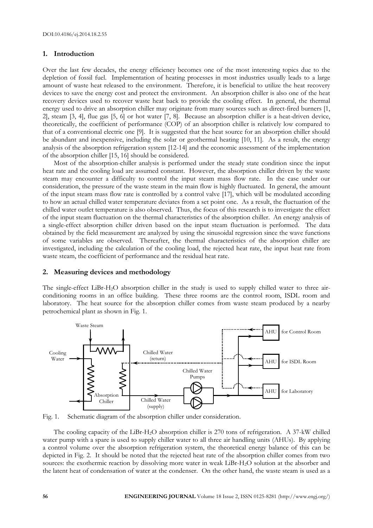#### **1. Introduction**

Over the last few decades, the energy efficiency becomes one of the most interesting topics due to the depletion of fossil fuel. Implementation of heating processes in most industries usually leads to a large amount of waste heat released to the environment. Therefore, it is beneficial to utilize the heat recovery devices to save the energy cost and protect the environment. An absorption chiller is also one of the heat recovery devices used to recover waste heat back to provide the cooling effect. In general, the thermal energy used to drive an absorption chiller may originate from many sources such as direct-fired burners [1, 2], steam [3, 4], flue gas [5, 6] or hot water [7, 8]. Because an absorption chiller is a heat-driven device, theoretically, the coefficient of performance (COP) of an absorption chiller is relatively low compared to that of a conventional electric one [9]. It is suggested that the heat source for an absorption chiller should be abundant and inexpensive, including the solar or geothermal heating [10, 11]. As a result, the energy analysis of the absorption refrigeration system [12-14] and the economic assessment of the implementation of the absorption chiller [15, 16] should be considered.

Most of the absorption-chiller analysis is performed under the steady state condition since the input heat rate and the cooling load are assumed constant. However, the absorption chiller driven by the waste steam may encounter a difficulty to control the input steam mass flow rate. In the case under our consideration, the pressure of the waste steam in the main flow is highly fluctuated. In general, the amount of the input steam mass flow rate is controlled by a control valve [17], which will be modulated according to how an actual chilled water temperature deviates from a set point one. As a result, the fluctuation of the chilled water outlet temperature is also observed. Thus, the focus of this research is to investigate the effect of the input steam fluctuation on the thermal characteristics of the absorption chiller. An energy analysis of a single-effect absorption chiller driven based on the input steam fluctuation is performed. The data obtained by the field measurement are analyzed by using the sinusoidal regression since the wave functions of some variables are observed. Thereafter, the thermal characteristics of the absorption chiller are investigated, including the calculation of the cooling load, the rejected heat rate, the input heat rate from waste steam, the coefficient of performance and the residual heat rate.

#### **2. Measuring devices and methodology**

The single-effect LiBr-H2O absorption chiller in the study is used to supply chilled water to three airconditioning rooms in an office building. These three rooms are the control room, ISDL room and laboratory. The heat source for the absorption chiller comes from waste steam produced by a nearby petrochemical plant as shown in Fig. 1.



Fig. 1. Schematic diagram of the absorption chiller under consideration.

The cooling capacity of the LiBr-H2O absorption chiller is 270 tons of refrigeration. A 37-kW chilled water pump with a spare is used to supply chiller water to all three air handling units (AHUs). By applying a control volume over the absorption refrigeration system, the theoretical energy balance of this can be depicted in Fig. 2. It should be noted that the rejected heat rate of the absorption chiller comes from two sources: the exothermic reaction by dissolving more water in weak LiBr-H2O solution at the absorber and the latent heat of condensation of water at the condenser. On the other hand, the waste steam is used as a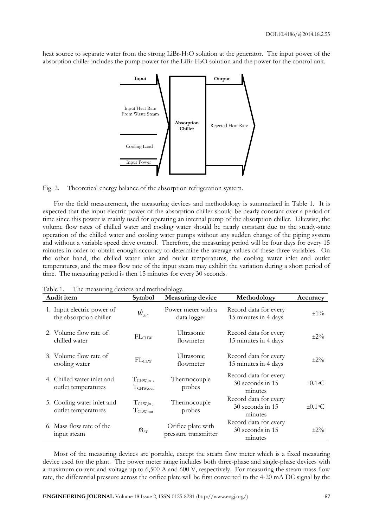heat source to separate water from the strong LiBr-H2O solution at the generator. The input power of the absorption chiller includes the pump power for the LiBr-H2O solution and the power for the control unit.



Fig. 2. Theoretical energy balance of the absorption refrigeration system.

For the field measurement, the measuring devices and methodology is summarized in Table 1. It is expected that the input electric power of the absorption chiller should be nearly constant over a period of time since this power is mainly used for operating an internal pump of the absorption chiller. Likewise, the volume flow rates of chilled water and cooling water should be nearly constant due to the steady-state operation of the chilled water and cooling water pumps without any sudden change of the piping system and without a variable speed drive control. Therefore, the measuring period will be four days for every 15 minutes in order to obtain enough accuracy to determine the average values of these three variables. On the other hand, the chilled water inlet and outlet temperatures, the cooling water inlet and outlet temperatures, and the mass flow rate of the input steam may exhibit the variation during a short period of time. The measuring period is then 15 minutes for every 30 seconds.

| Audit item                                           | <b>Symbol</b>                          | <b>Measuring device</b>                    | Methodology                                          | Accuracy                 |
|------------------------------------------------------|----------------------------------------|--------------------------------------------|------------------------------------------------------|--------------------------|
| 1. Input electric power of<br>the absorption chiller | $\dot{W}_{AC}$                         | Power meter with a<br>data logger          | Record data for every<br>15 minutes in 4 days        | $\pm 1\%$                |
| 2. Volume flow rate of<br>chilled water              | FL <sub>CHW</sub>                      | Ultrasonic<br>flowmeter                    | Record data for every<br>15 minutes in 4 days        | $\pm 2\%$                |
| 3. Volume flow rate of<br>cooling water              | $FL_{CLW}$                             | Ultrasonic<br>flowmeter                    | Record data for every<br>15 minutes in 4 days        | $\pm 2\%$                |
| 4. Chilled water inlet and<br>outlet temperatures    | $T_{\text{CHW,in}}$ ,<br>$T_{CHW,out}$ | Thermocouple<br>probes                     | Record data for every<br>30 seconds in 15<br>minutes | $\pm 0.1$ <sup>o</sup> C |
| 5. Cooling water inlet and<br>outlet temperatures    | $T_{CLW,in}$ ,<br>$T_{\rm CLW,out}$    | Thermocouple<br>probes                     | Record data for every<br>30 seconds in 15<br>minutes | $\pm 0.1$ °C             |
| 6. Mass flow rate of the<br>input steam              | $m_{ST}$                               | Orifice plate with<br>pressure transmitter | Record data for every<br>30 seconds in 15<br>minutes | $+2\%$                   |

Table 1. The measuring devices and methodology.

Most of the measuring devices are portable, except the steam flow meter which is a fixed measuring device used for the plant. The power meter range includes both three-phase and single-phase devices with a maximum current and voltage up to 6,500 A and 600 V, respectively. For measuring the steam mass flow rate, the differential pressure across the orifice plate will be first converted to the 4-20 mA DC signal by the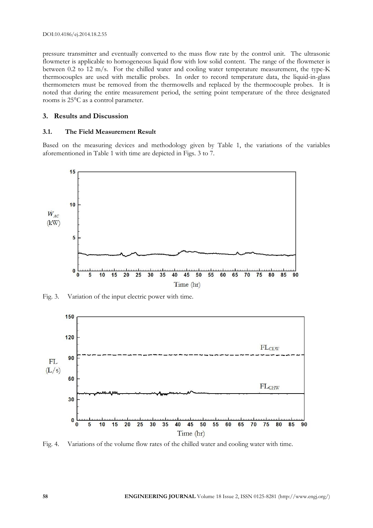pressure transmitter and eventually converted to the mass flow rate by the control unit. The ultrasonic flowmeter is applicable to homogeneous liquid flow with low solid content. The range of the flowmeter is between 0.2 to 12 m/s. For the chilled water and cooling water temperature measurement, the type-K thermocouples are used with metallic probes. In order to record temperature data, the liquid-in-glass thermometers must be removed from the thermowells and replaced by the thermocouple probes. It is noted that during the entire measurement period, the setting point temperature of the three designated rooms is 25°C as a control parameter.

#### **3. Results and Discussion**

#### **3.1. The Field Measurement Result**

Based on the measuring devices and methodology given by Table 1, the variations of the variables aforementioned in Table 1 with time are depicted in Figs. 3 to 7.



Fig. 3. Variation of the input electric power with time.



Fig. 4. Variations of the volume flow rates of the chilled water and cooling water with time.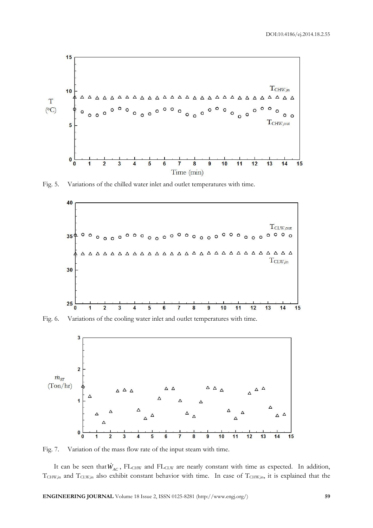

Fig. 5. Variations of the chilled water inlet and outlet temperatures with time.



Fig. 6. Variations of the cooling water inlet and outlet temperatures with time.



Fig. 7. Variation of the mass flow rate of the input steam with time.

It can be seen that  $W_{AC}$ , FL<sub>CHW</sub> and FL<sub>CLW</sub> are nearly constant with time as expected. In addition,  $T_{CHW,in}$  and  $T_{CLW,in}$  also exhibit constant behavior with time. In case of  $T_{CHW,in}$ , it is explained that the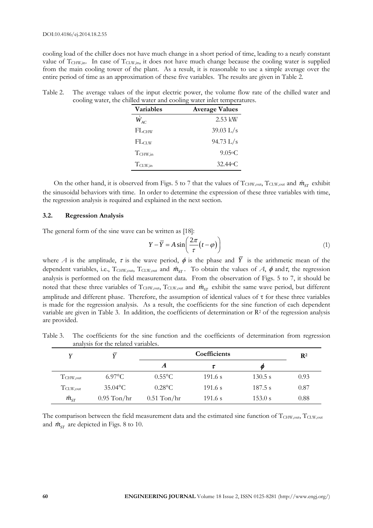cooling load of the chiller does not have much change in a short period of time, leading to a nearly constant value of  $T_{CHW,in}$ . In case of  $T_{CLW,in}$ , it does not have much change because the cooling water is supplied from the main cooling tower of the plant. As a result, it is reasonable to use a simple average over the entire period of time as an approximation of these five variables. The results are given in Table 2.

| Table 2. | The average values of the input electric power, the volume flow rate of the chilled water and |
|----------|-----------------------------------------------------------------------------------------------|
|          | cooling water, the chilled water and cooling water inlet temperatures.                        |

| <b>Variables</b>    | <b>Average Values</b> |
|---------------------|-----------------------|
| $W_{AC}$            | $2.53$ kW             |
| FLCHW               | $39.03$ L/s           |
| $FL_{CLW}$          | $94.73 \text{ L/s}$   |
| T <sub>CHW,in</sub> | $9.05\circ C$         |
| $T_{CLW,in}$        | $32.44\circ C$        |

On the other hand, it is observed from Figs. 5 to 7 that the values of  $T_{CHW,out}$ ,  $T_{CLW,out}$  and  $\dot{m}_{ST}$  exhibit the sinusoidal behaviors with time. In order to determine the expression of these three variables with time, the regression analysis is required and explained in the next section.

#### **3.2. Regression Analysis**

The general form of the sine wave can be written as [18]:

$$
Y - \overline{Y} = A \sin\left(\frac{2\pi}{\tau} (t - \varphi)\right)
$$
 (1)

where *A* is the amplitude,  $\tau$  is the wave period,  $\phi$  is the phase and *Y* is the arithmetic mean of the dependent variables, i.e.,  $T_{\text{CHW,out}}$ ,  $T_{\text{CLW,out}}$  and  $\dot{m}_{ST}$ . To obtain the values of *A*,  $\phi$  and  $\tau$ , the regression analysis is performed on the field measurement data. From the observation of Figs. 5 to 7, it should be noted that these three variables of T<sub>CHW,out</sub>, T<sub>CLW,out</sub> and  $\dot{m}_{ST}$  exhibit the same wave period, but different amplitude and different phase. Therefore, the assumption of identical values of  $\tau$  for these three variables is made for the regression analysis. As a result, the coefficients for the sine function of each dependent variable are given in Table 3. In addition, the coefficients of determination or R<sup>2</sup> of the regression analysis are provided.

Table 3. The coefficients for the sine function and the coefficients of determination from regression analysis for the related variables.

|                   |                  |                  | $\mathbf{R}^2$ |          |      |
|-------------------|------------------|------------------|----------------|----------|------|
|                   |                  | A                |                | <b>O</b> |      |
| $T_{CHW,out}$     | $6.97^{\circ}$ C | $0.55^{\circ}$ C | 191.6 s        | 130.5 s  | 0.93 |
| $T_{\rm CLW,out}$ | $35.04$ °C       | $0.28$ °C        | 191.6 s        | 187.5 s  | 0.87 |
| $\dot{m}_{ST}$    | $0.95$ Ton/hr    | $0.51$ Ton/hr    | 191.6 s        | 153.0 s  | 0.88 |

The comparison between the field measurement data and the estimated sine function of TCHW,out, TCLW,out and  $\dot{m}_{ST}$  are depicted in Figs. 8 to 10.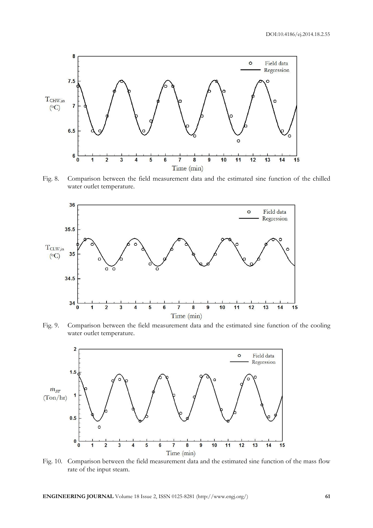

Fig. 8. Comparison between the field measurement data and the estimated sine function of the chilled water outlet temperature.



Fig. 9. Comparison between the field measurement data and the estimated sine function of the cooling water outlet temperature.



Fig. 10. Comparison between the field measurement data and the estimated sine function of the mass flow rate of the input steam.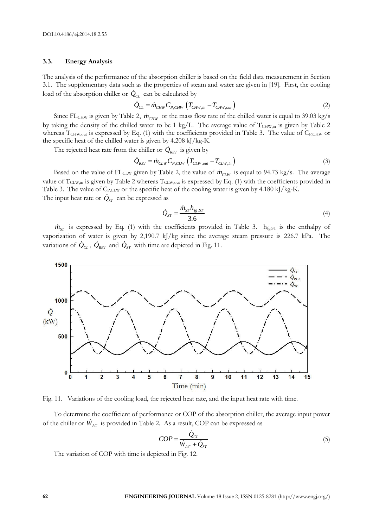#### **3.3. Energy Analysis**

The analysis of the performance of the absorption chiller is based on the field data measurement in Section 3.1. The supplementary data such as the properties of steam and water are given in [19]. First, the cooling load of the absorption chiller or  $\dot{Q}_{CL}$  can be calculated by<br> $\dot{Q}_{CL} = \dot{m}_{CHW} C_{P,CHW} \left( T_{CHW,in} - T_{CHW,out} \right)$ 

$$
\dot{Q}_{CL} = \dot{m}_{CHW} C_{P,CHW} \left( T_{CHW,in} - T_{CHW,out} \right) \tag{2}
$$

Since FL<sub>CHW</sub> is given by Table 2,  $\dot{m}_{CHW}$  or the mass flow rate of the chilled water is equal to 39.03 kg/s by taking the density of the chilled water to be 1 kg/L. The average value of TCHW,in is given by Table 2 whereas T<sub>CHW,out</sub> is expressed by Eq. (1) with the coefficients provided in Table 3. The value of C<sub>P,CHW</sub> or the specific heat of the chilled water is given by 4.208 kJ/kg-K.

The rejected heat rate from the chiller or  $\dot{Q}_{REJ}$  is given by<br> $\dot{Q}_{REJ} = \dot{m}_{CLW} C_{P,CLW} \left( T_{CLW,out} - T_{CLW,in} \right)$ 

$$
\dot{Q}_{REJ} = \dot{m}_{CLW} C_{P,CLW} \left( T_{CLW,out} - T_{CLW,in} \right)
$$
\n(3)

Based on the value of FL<sub>CLW</sub> given by Table 2, the value of  $\dot{m}_{CLW}$  is equal to 94.73 kg/s. The average value of  $T_{CLW,in}$  is given by Table 2 whereas  $T_{CLW,out}$  is expressed by Eq. (1) with the coefficients provided in Table 3. The value of C<sub>P,CLW</sub> or the specific heat of the cooling water is given by 4.180 kJ/kg-K. The input heat rate or  $\dot Q_{ST}$  can be expressed as

$$
\dot{Q}_{ST} = \frac{\dot{m}_{ST} h_{fg,ST}}{3.6}
$$
 (4)

 $\dot{m}_{ST}$  is expressed by Eq. (1) with the coefficients provided in Table 3.  $h_{fg,ST}$  is the enthalpy of vaporization of water is given by 2,190.7 kJ/kg since the average steam pressure is 226.7 kPa. The variations of  $Q_{CL}$ ,  $Q_{REJ}$  and  $Q_{ST}$  with time are depicted in Fig. 11.



Fig. 11. Variations of the cooling load, the rejected heat rate, and the input heat rate with time.

To determine the coefficient of performance or COP of the absorption chiller, the average input power of the chiller or  $W_{AC}$  is provided in Table 2. As a result, COP can be expressed as

$$
COP = \frac{\dot{Q}_{CL}}{\dot{W}_{AC} + \dot{Q}_{ST}}
$$
\n(5)

The variation of COP with time is depicted in Fig. 12.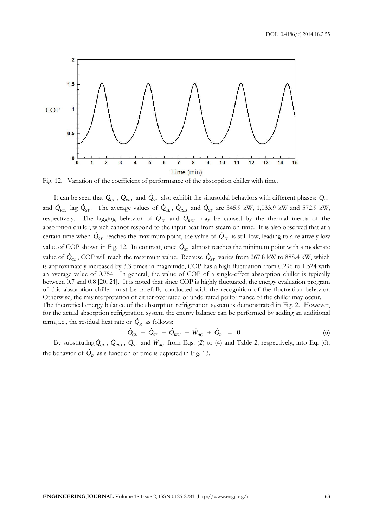DOI:10.4186/ej.2014.18.2.55



Fig. 12. Variation of the coefficient of performance of the absorption chiller with time.

It can be seen that  $\dot{Q}_{CL}$ ,  $\dot{Q}_{REJ}$  and  $\dot{Q}_{ST}$  also exhibit the sinusoidal behaviors with different phases:  $\dot{Q}_{CL}$ and  $Q_{REJ}$  lag  $Q_{ST}$ . The average values of  $Q_{CL}$ ,  $Q_{REJ}$  and  $Q_{ST}$  are 345.9 kW, 1,033.9 kW and 572.9 kW, respectively. The lagging behavior of  $Q_{CL}$  and  $Q_{REJ}$  may be caused by the thermal inertia of the absorption chiller, which cannot respond to the input heat from steam on time. It is also observed that at a certain time when  $Q_{ST}$  reaches the maximum point, the value of  $Q_{CL}$  is still low, leading to a relatively low value of COP shown in Fig. 12. In contrast, once  $Q_{ST}$  almost reaches the minimum point with a moderate value of  $Q_{CL}$ , COP will reach the maximum value. Because  $Q_{ST}$  varies from 267.8 kW to 888.4 kW, which is approximately increased by 3.3 times in magnitude, COP has a high fluctuation from 0.296 to 1.524 with an average value of 0.754. In general, the value of COP of a single-effect absorption chiller is typically between 0.7 and 0.8 [20, 21]. It is noted that since COP is highly fluctuated, the energy evaluation program of this absorption chiller must be carefully conducted with the recognition of the fluctuation behavior. Otherwise, the misinterpretation of either overrated or underrated performance of the chiller may occur. The theoretical energy balance of the absorption refrigeration system is demonstrated in Fig. 2. However, for the actual absorption refrigeration system the energy balance can be performed by adding an additional term, i.e., the residual heat rate or  $\dot{Q}_R$  as follows:<br>  $\dot{Q}_{CL} + \dot{Q}_{ST} - \dot{Q}_{REJ} + \dot{W}_{AC} + \dot{Q}_R = 0$ 

$$
\dot{Q}_{CL} + \dot{Q}_{ST} - \dot{Q}_{REJ} + \dot{W}_{AC} + \dot{Q}_{R} = 0
$$
\n(6)

By substituting  $Q_{CL}$ ,  $Q_{REJ}$ ,  $Q_{ST}$  and  $W_{AC}$  from Eqs. (2) to (4) and Table 2, respectively, into Eq. (6), the behavior of  $Q_R$  as s function of time is depicted in Fig. 13.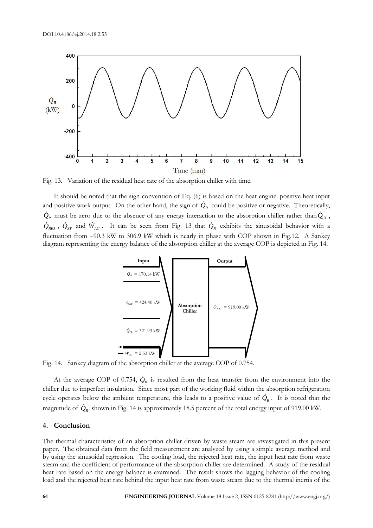

Fig. 13. Variation of the residual heat rate of the absorption chiller with time.

It should be noted that the sign convention of Eq.  $(6)$  is based on the heat engine: positive heat input and positive work output. On the other hand, the sign of  $Q_R$  could be positive or negative. Theoretically,  $\dot{Q}_R$  must be zero due to the absence of any energy interaction to the absorption chiller rather than  $\dot{Q}_{CL}$ ,  $Q_{REJ}$ ,  $Q_{ST}$  and  $W_{AC}$ . It can be seen from Fig. 13 that  $Q_R$  exhibits the sinusoidal behavior with a fluctuation from 90.3 kW to 306.9 kW which is nearly in phase with COP shown in Fig.12. A Sankey diagram representing the energy balance of the absorption chiller at the average COP is depicted in Fig. 14.



Fig. 14. Sankey diagram of the absorption chiller at the average COP of 0.754.

At the average COP of 0.754,  $Q_R$  is resulted from the heat transfer from the environment into the chiller due to imperfect insulation. Since most part of the working fluid within the absorption refrigeration cycle operates below the ambient temperature, this leads to a positive value of  $Q_R$ . It is noted that the magnitude of *QR* shown in Fig. 14 is approximately 18.5 percent of the total energy input of 919.00 kW.

#### **4. Conclusion**

The thermal characteristics of an absorption chiller driven by waste steam are investigated in this present paper. The obtained data from the field measurement are analyzed by using a simple average method and by using the sinusoidal regression. The cooling load, the rejected heat rate, the input heat rate from waste steam and the coefficient of performance of the absorption chiller are determined. A study of the residual heat rate based on the energy balance is examined. The result shows the lagging behavior of the cooling load and the rejected heat rate behind the input heat rate from waste steam due to the thermal inertia of the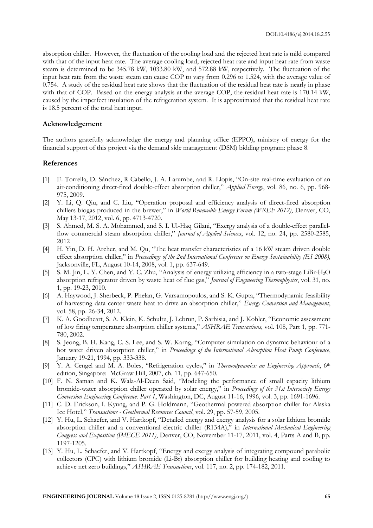absorption chiller. However, the fluctuation of the cooling load and the rejected heat rate is mild compared with that of the input heat rate. The average cooling load, rejected heat rate and input heat rate from waste steam is determined to be 345.78 kW, 1033.80 kW, and 572.88 kW, respectively. The fluctuation of the input heat rate from the waste steam can cause COP to vary from 0.296 to 1.524, with the average value of 0.754. A study of the residual heat rate shows that the fluctuation of the residual heat rate is nearly in phase with that of COP. Based on the energy analysis at the average COP, the residual heat rate is 170.14 kW, caused by the imperfect insulation of the refrigeration system. It is approximated that the residual heat rate is 18.5 percent of the total heat input.

#### **Acknowledgement**

The authors gratefully acknowledge the energy and planning office (EPPO), ministry of energy for the financial support of this project via the demand side management (DSM) bidding program: phase 8.

#### **References**

- [1] E. Torrella, D. Sánchez, R Cabello, J. A. Larumbe, and R. Llopis, "On-site real-time evaluation of an air-conditioning direct-fired double-effect absorption chiller," *Applied Energy*, vol. 86, no. 6, pp. 968- 975, 2009.
- [2] Y. Li, Q. Qiu, and C. Liu, "Operation proposal and efficiency analysis of direct-fired absorption chillers biogas produced in the brewer," in *World Renewable Energy Forum (WREF 2012)*, Denver, CO, May 13-17, 2012, vol. 6, pp. 4713-4720.
- [3] S. Ahmed, M. S. A. Mohammed, and S. I. Ul-Haq Gilani, "Exergy analysis of a double-effect parallelflow commercial steam absorption chiller," *Journal of Applied Sciences*, vol. 12, no. 24, pp. 2580-2585, 2012
- [4] H. Yin, D. H. Archer, and M. Qu, "The heat transfer characteristics of a 16 kW steam driven double effect absorption chiller," in *Proceedings of the 2nd International Conference on Energy Sustainability (ES 2008)*, Jacksonville, FL, August 10-14, 2008, vol. 1, pp. 637-649.
- [5] S. M. Jin, L. Y. Chen, and Y. C. Zhu, "Analysis of energy utilizing efficiency in a two-stage LiBr-H2O absorption refrigerator driven by waste heat of flue gas," *Journal of Engineering Thermophysics*, vol. 31, no. 1, pp. 19-23, 2010.
- [6] A. Haywood, J. Sherbeck, P. Phelan, G. Varsamopoulos, and S. K. Gupta, "Thermodynamic feasibility of harvesting data center waste heat to drive an absorption chiller," *Energy Conversion and Management*, vol. 58, pp. 26-34, 2012.
- [7] K. A. Goodheart, S. A. Klein, K. Schultz, J. Lebrun, P. Sarhisia, and J. Kohler, "Economic assessment of low firing temperature absorption chiller systems," *ASHRAE Transactions*, vol. 108, Part 1, pp. 771- 780, 2002.
- [8] S. Jeong, B. H. Kang, C. S. Lee, and S. W. Karng, "Computer simulation on dynamic behaviour of a hot water driven absorption chiller," in *Proceedings of the International Absorption Heat Pump Conference*, January 19-21, 1994, pp. 333-338.
- [9] Y. A. Cengel and M. A. Boles, "Refrigeration cycles," in *Thermodynamics: an Engineering Approach*, 6th edition, Singapore: McGraw Hill, 2007, ch. 11, pp. 647-650.
- [10] F. N. Saman and K. Wala-Al-Deen Said, "Modeling the performance of small capacity lithium bromide-water absorption chiller operated by solar energy," in *Proceedings of the 31st Intersociety Energy Conversion Engineering Conference: Part 1*, Washington, DC, August 11-16, 1996, vol. 3, pp. 1691-1696.
- [11] C. D. Erickson, I. Kyung, and P. G. Holdmann, "Geothermal powered absorption chiller for Alaska Ice Hotel," *Transactions - Geothermal Resources Council*, vol. 29, pp. 57-59, 2005.
- [12] Y. Hu, L. Schaefer, and V. Hartkopf, "Detailed energy and exergy analysis for a solar lithium bromide absorption chiller and a conventional electric chiller (R134A)," in *International Mechanical Engineering Congress and Exposition (IMECE 2011)*, Denver, CO, November 11-17, 2011, vol. 4, Parts A and B, pp. 1197-1205.
- [13] Y. Hu, L. Schaefer, and V. Hartkopf, "Energy and exergy analysis of integrating compound parabolic collectors (CPC) with lithium bromide (Li-Br) absorption chiller for building heating and cooling to achieve net zero buildings," *ASHRAE Transactions*, vol. 117, no. 2, pp. 174-182, 2011.